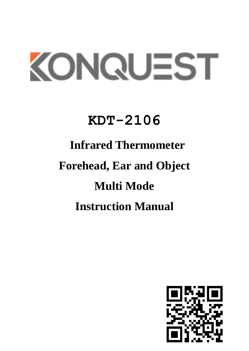# KONQUEST

### **KDT-2106**

## **Infrared Thermometer Forehead, Ear and Object Multi Mode**

### **Instruction Manual**

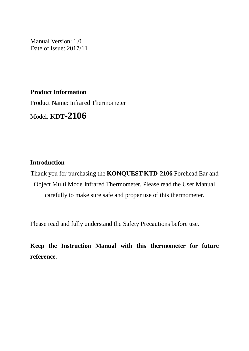Manual Version: 1.0 Date of Issue: 2017/11

**Product Information**

Product Name: Infrared Thermometer

Model: **KDT-2106**

#### **Introduction**

Thank you for purchasing the **KONQUEST KTD-2106** Forehead Ear and Object Multi Mode Infrared Thermometer. Please read the User Manual carefully to make sure safe and proper use of this thermometer.

Please read and fully understand the Safety Precautions before use.

**Keep the Instruction Manual with this thermometer for future reference.**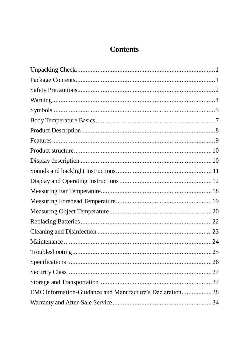#### **Contents**

| EMC Information-Guidance and Manufacture's Declaration28 |  |
|----------------------------------------------------------|--|
|                                                          |  |
|                                                          |  |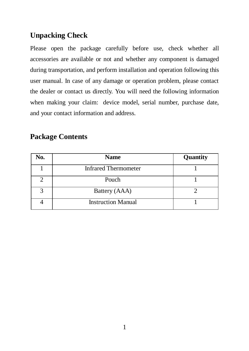#### <span id="page-3-0"></span>**Unpacking Check**

Please open the package carefully before use, check whether all accessories are available or not and whether any component is damaged during transportation, and perform installation and operation following this user manual. In case of any damage or operation problem, please contact the dealer or contact us directly. You will need the following information when making your claim: device model, serial number, purchase date, and your contact information and address.

#### <span id="page-3-1"></span>**Package Contents**

| No.               | <b>Name</b>                 | Quantity |
|-------------------|-----------------------------|----------|
|                   | <b>Infrared Thermometer</b> |          |
|                   | Pouch                       |          |
| $\mathbf{\Omega}$ | Battery (AAA)               |          |
|                   | <b>Instruction Manual</b>   |          |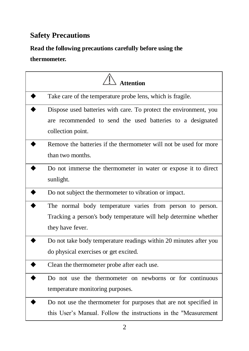#### <span id="page-4-0"></span>**Safety Precautions**

#### **Read the following precautions carefully before using the**

#### **thermometer.**

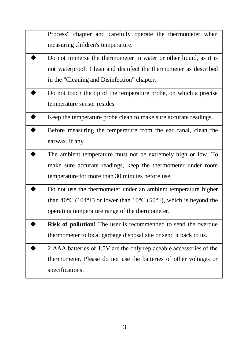Process" chapter and carefully operate the thermometer when measuring children's temperature.

- Do not immerse the thermometer in water or other liquid, as it is not waterproof. Clean and disinfect the thermometer as described in the "Cleaning and Disinfection" chapter.
- Do not touch the tip of the temperature probe, on which a precise temperature sensor resides.
- Keep the temperature probe clean to make sure accurate readings.
- Before measuring the temperature from the ear canal, clean the earwax, if any.
- The ambient temperature must not be extremely high or low. To make sure accurate readings, keep the thermometer under room temperature for more than 30 minutes before use.
- Do not use the thermometer under an ambient temperature higher than  $40^{\circ}$ C (104 $^{\circ}$ F) or lower than 10 $^{\circ}$ C (50 $^{\circ}$ F), which is beyond the operating temperature range of the thermometer.
- **Risk of pollution!** The user is recommended to send the overdue thermometer to local garbage disposal site or send it back to us.
- 2 AAA batteries of 1.5V are the only replaceable accessories of the thermometer. Please do not use the batteries of other voltages or specifications.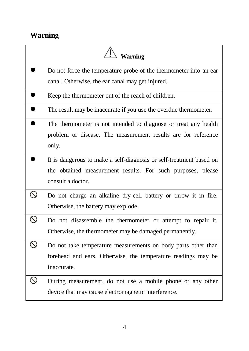#### <span id="page-6-0"></span>**Warning**

|                | Warning                                                                                                                                                 |
|----------------|---------------------------------------------------------------------------------------------------------------------------------------------------------|
|                | Do not force the temperature probe of the thermometer into an ear<br>canal. Otherwise, the ear canal may get injured.                                   |
|                | Keep the thermometer out of the reach of children.                                                                                                      |
|                | The result may be inaccurate if you use the overdue thermometer.                                                                                        |
|                | The thermometer is not intended to diagnose or treat any health<br>problem or disease. The measurement results are for reference<br>only.               |
|                | It is dangerous to make a self-diagnosis or self-treatment based on<br>the obtained measurement results. For such purposes, please<br>consult a doctor. |
| ↷              | Do not charge an alkaline dry-cell battery or throw it in fire.<br>Otherwise, the battery may explode.                                                  |
| $\circledcirc$ | Do not disassemble the thermometer or attempt to repair it.<br>Otherwise, the thermometer may be damaged permanently.                                   |
| ↷              | Do not take temperature measurements on body parts other than<br>forehead and ears. Otherwise, the temperature readings may be<br>inaccurate.           |
| N              | During measurement, do not use a mobile phone or any other<br>device that may cause electromagnetic interference.                                       |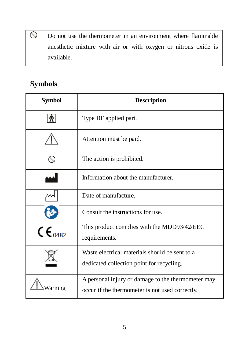Do not use the thermometer in an environment where flammable anesthetic mixture with air or with oxygen or nitrous oxide is available.

#### <span id="page-7-0"></span>**Symbols**

 $\circ$ 

| <b>Symbol</b>            | <b>Description</b>                                                                                    |  |
|--------------------------|-------------------------------------------------------------------------------------------------------|--|
|                          | Type BF applied part.                                                                                 |  |
|                          | Attention must be paid.                                                                               |  |
|                          | The action is prohibited.                                                                             |  |
|                          | Information about the manufacturer.                                                                   |  |
|                          | Date of manufacture.                                                                                  |  |
|                          | Consult the instructions for use.                                                                     |  |
| $C\epsilon_{\text{max}}$ | This product complies with the MDD93/42/EEC<br>requirements.                                          |  |
|                          | Waste electrical materials should be sent to a<br>dedicated collection point for recycling.           |  |
| Warning                  | A personal injury or damage to the thermometer may<br>occur if the thermometer is not used correctly. |  |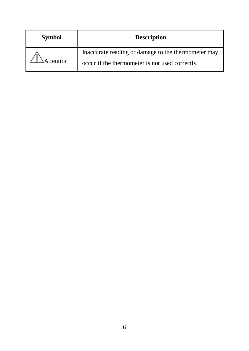| <b>Symbol</b> | <b>Description</b>                                                                                     |  |
|---------------|--------------------------------------------------------------------------------------------------------|--|
| Attention     | Inaccurate reading or damage to the thermometer may<br>occur if the thermometer is not used correctly. |  |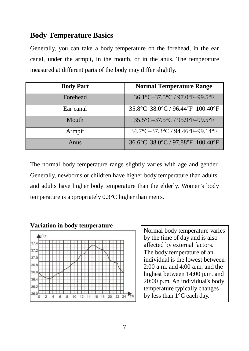#### <span id="page-9-0"></span>**Body Temperature Basics**

Generally, you can take a body temperature on the forehead, in the ear canal, under the armpit, in the mouth, or in the anus. The temperature measured at different parts of the body may differ slightly.

| <b>Body Part</b> | <b>Normal Temperature Range</b>  |
|------------------|----------------------------------|
| Forehead         | 36.1°C-37.5°C / 97.0°F-99.5°F    |
| Ear canal        | 35.8°C-38.0°C / 96.44°F-100.40°F |
| Mouth            | 35.5°C-37.5°C / 95.9°F-99.5°F    |
| Armpit           | 34.7°C-37.3°C / 94.46°F-99.14°F  |
| Anus             | 36.6°C-38.0°C / 97.88°F-100.40°F |

The normal body temperature range slightly varies with age and gender. Generally, newborns or children have higher body temperature than adults, and adults have higher body temperature than the elderly. Women's body temperature is appropriately 0.3°C higher than men's.

#### **Variation in body temperature**



Normal body temperature varies by the time of day and is also affected by external factors. The body temperature of an individual is the lowest between 2:00 a.m. and 4:00 a.m. and the highest between 14:00 p.m. and 20:00 p.m. An individual's body temperature typically changes by less than 1°C each day.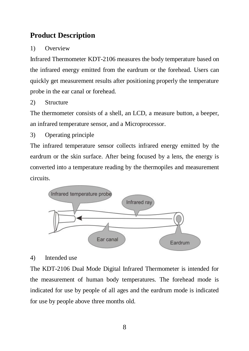#### <span id="page-10-0"></span>**Product Description**

#### 1) Overview

Infrared Thermometer KDT-2106 measures the body temperature based on the infrared energy emitted from the eardrum or the forehead. Users can quickly get measurement results after positioning properly the temperature probe in the ear canal or forehead.

2) Structure

The thermometer consists of a shell, an LCD, a measure button, a beeper, an infrared temperature sensor, and a Microprocessor.

3) Operating principle

The infrared temperature sensor collects infrared energy emitted by the eardrum or the skin surface. After being focused by a lens, the energy is converted into a temperature reading by the thermopiles and measurement circuits.



#### 4) Intended use

The KDT-2106 Dual Mode Digital Infrared Thermometer is intended for the measurement of human body temperatures. The forehead mode is indicated for use by people of all ages and the eardrum mode is indicated for use by people above three months old.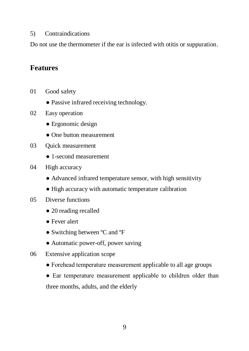#### 5) Contraindications

Do not use the thermometer if the ear is infected with otitis or suppuration.

#### <span id="page-11-0"></span>**Features**

- 01 Good safety
	- Passive infrared receiving technology.
- 02 Easy operation
	- Ergonomic design
	- One button measurement
- 03 Ouick measurement
	- 1-second measurement
- 04 High accuracy
	- Advanced infrared temperature sensor, with high sensitivity
	- High accuracy with automatic temperature calibration
- 05 Diverse functions
	- 20 reading recalled
	- Fever alert
	- Switching between ºC and ºF
	- Automatic power-off, power saving
- 06 Extensive application scope
	- Forehead temperature measurement applicable to all age groups
	- Ear temperature measurement applicable to children older than three months, adults, and the elderly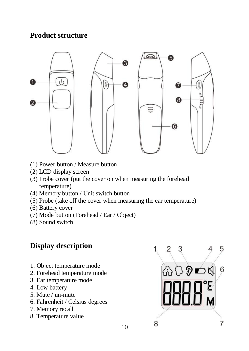#### <span id="page-12-0"></span>**Product structure**



- (1) Power button / Measure button
- (2) LCD display screen
- (3) Probe cover (put the cover on when measuring the forehead temperature)
- (4) Memory button / Unit switch button
- (5) Probe (take off the cover when measuring the ear temperature)
- (6) Battery cover
- (7) Mode button (Forehead / Ear / Object)
- (8) Sound switch

#### <span id="page-12-1"></span>**Display description**

- 1. Object temperature mode
- 2. Forehead temperature mode
- 3. Ear temperature mode
- 4. Low battery
- 5. Mute / un-mute
- 6. Fahrenheit / Celsius degrees
- 7. Memory recall
- 8. Temperature value

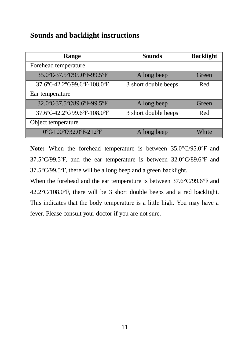#### <span id="page-13-0"></span>**Sounds and backlight instructions**

| Range                        | <b>Sounds</b>        | <b>Backlight</b> |
|------------------------------|----------------------|------------------|
| Forehead temperature         |                      |                  |
| 35.0°C-37.5°C/95.0°F-99.5°F  | A long beep          | Green            |
| 37.6°C-42.2°C/99.6°F-108.0°F | 3 short double beeps | Red              |
| Ear temperature              |                      |                  |
| 32.0°C-37.5°C/89.6°F-99.5°F  | A long beep          | Green            |
| 37.6°C-42.2°C/99.6°F-108.0°F | 3 short double beeps | Red              |
| Object temperature           |                      |                  |
| 0°C-100°C/32.0°F-212°F       | A long beep          | White            |

**Note:** When the forehead temperature is between 35.0°C/95.0℉ and 37.5°C/99.5℉, and the ear temperature is between 32.0°C/89.6℉ and 37.5°C/99.5℉, there will be a long beep and a green backlight.

When the forehead and the ear temperature is between 37.6°C/99.6℉ and 42.2°C/108.0℉, there will be 3 short double beeps and a red backlight. This indicates that the body temperature is a little high. You may have a fever. Please consult your doctor if you are not sure.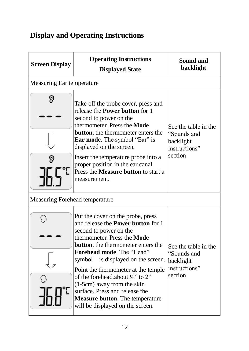#### <span id="page-14-0"></span>**Display and Operating Instructions**

| <b>Screen Display</b>          | <b>Operating Instructions</b><br><b>Displayed State</b>                                                                                                                                                                                                                                                                                                                                                                                                                                                | Sound and<br>backlight                                                       |
|--------------------------------|--------------------------------------------------------------------------------------------------------------------------------------------------------------------------------------------------------------------------------------------------------------------------------------------------------------------------------------------------------------------------------------------------------------------------------------------------------------------------------------------------------|------------------------------------------------------------------------------|
| Measuring Ear temperature      |                                                                                                                                                                                                                                                                                                                                                                                                                                                                                                        |                                                                              |
| D                              | Take off the probe cover, press and<br>release the <b>Power button</b> for 1<br>second to power on the<br>thermometer. Press the <b>Mode</b><br><b>button</b> , the thermometer enters the<br><b>Ear mode.</b> The symbol "Ear" is<br>displayed on the screen.<br>Insert the temperature probe into a<br>proper position in the ear canal.<br>Press the <b>Measure button</b> to start a<br>measurement.                                                                                               | See the table in the<br>"Sounds and<br>backlight<br>instructions"<br>section |
| Measuring Forehead temperature |                                                                                                                                                                                                                                                                                                                                                                                                                                                                                                        |                                                                              |
|                                | Put the cover on the probe, press<br>and release the <b>Power button</b> for 1<br>second to power on the<br>thermometer. Press the Mode<br><b>button</b> , the thermometer enters the<br><b>Forehead mode</b> The "Head"<br>symbol<br>is displayed on the screen.<br>Point the thermometer at the temple<br>of the forehead.about $\frac{1}{2}$ " to 2"<br>(1-5cm) away from the skin<br>surface. Press and release the<br><b>Measure button</b> . The temperature<br>will be displayed on the screen. | See the table in the<br>"Sounds and<br>backlight<br>instructions"<br>section |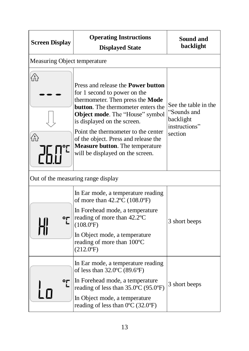| <b>Screen Display</b>        | <b>Operating Instructions</b><br><b>Displayed State</b>                                                                                                                                                                                                                                                                                                                             | Sound and<br>backlight                                                       |
|------------------------------|-------------------------------------------------------------------------------------------------------------------------------------------------------------------------------------------------------------------------------------------------------------------------------------------------------------------------------------------------------------------------------------|------------------------------------------------------------------------------|
| Measuring Object temperature |                                                                                                                                                                                                                                                                                                                                                                                     |                                                                              |
| ⋒<br>⋒                       | Press and release the <b>Power button</b><br>for 1 second to power on the<br>thermometer. Then press the Mode<br>button. The thermometer enters the<br>Object mode. The "House" symbol<br>is displayed on the screen.<br>Point the thermometer to the center<br>of the object. Press and release the<br><b>Measure button</b> . The temperature<br>will be displayed on the screen. | See the table in the<br>"Sounds and<br>backlight<br>instructions"<br>section |
|                              | Out of the measuring range display                                                                                                                                                                                                                                                                                                                                                  |                                                                              |
| ᇬ                            | In Ear mode, a temperature reading<br>of more than 42.2°C (108.0°F)<br>In Forehead mode, a temperature<br>reading of more than 42.2 °C<br>$(108.0^{\circ}F)$<br>In Object mode, a temperature<br>reading of more than 100°C<br>$(212.0^{\circ}F)$                                                                                                                                   | 3 short beeps                                                                |
| ᅂ                            | In Ear mode, a temperature reading<br>of less than 32.0°C (89.6°F)<br>In Forehead mode, a temperature<br>reading of less than 35.0°C (95.0°F)<br>In Object mode, a temperature<br>reading of less than $0^{\circ}$ C (32.0 $^{\circ}$ F)                                                                                                                                            | 3 short beeps                                                                |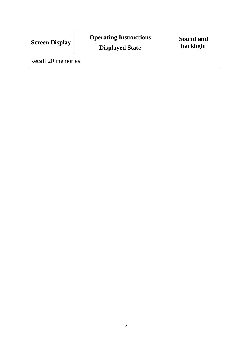| <b>Screen Display</b> | <b>Operating Instructions</b><br><b>Displayed State</b> | Sound and<br>backlight |
|-----------------------|---------------------------------------------------------|------------------------|
| Recall 20 memories    |                                                         |                        |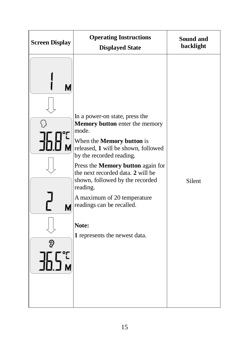| <b>Screen Display</b> | <b>Operating Instructions</b><br><b>Displayed State</b>                                                               | Sound and<br>backlight |
|-----------------------|-----------------------------------------------------------------------------------------------------------------------|------------------------|
|                       |                                                                                                                       |                        |
|                       | In a power-on state, press the<br><b>Memory button</b> enter the memory<br>mode.                                      |                        |
|                       | When the <b>Memory button</b> is<br>released, 1 will be shown, followed<br>by the recorded reading.                   |                        |
|                       | Press the Memory button again for<br>the next recorded data. 2 will be<br>shown, followed by the recorded<br>reading. | Silent                 |
| M                     | A maximum of 20 temperature<br>readings can be recalled.                                                              |                        |
|                       | Note:<br>1 represents the newest data.                                                                                |                        |
|                       |                                                                                                                       |                        |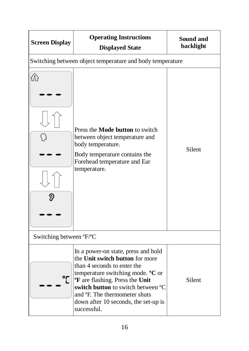| <b>Screen Display</b>   | <b>Operating Instructions</b><br><b>Displayed State</b>                                                                                                                                                                                                                                                                                   | Sound and<br>backlight |  |
|-------------------------|-------------------------------------------------------------------------------------------------------------------------------------------------------------------------------------------------------------------------------------------------------------------------------------------------------------------------------------------|------------------------|--|
|                         | Switching between object temperature and body temperature                                                                                                                                                                                                                                                                                 |                        |  |
| ⋒                       | Press the <b>Mode button</b> to switch<br>between object temperature and<br>body temperature.<br>Body temperature contains the<br>Forehead temperature and Ear<br>temperature.                                                                                                                                                            | Silent                 |  |
| Switching between °F/°C |                                                                                                                                                                                                                                                                                                                                           |                        |  |
| °ŗ                      | In a power-on state, press and hold<br>the Unit switch button for more<br>than 4 seconds to enter the<br>temperature switching mode. <sup>o</sup> C or<br><b>F</b> are flashing. Press the Unit<br>switch button to switch between °C<br>and <sup>o</sup> F. The thermometer shuts<br>down after 10 seconds, the set-up is<br>successful. | Silent                 |  |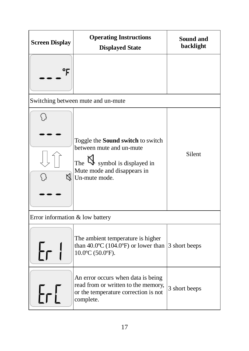| <b>Screen Display</b>           | <b>Operating Instructions</b><br><b>Displayed State</b>                                                                                                        | Sound and<br>backlight |
|---------------------------------|----------------------------------------------------------------------------------------------------------------------------------------------------------------|------------------------|
| °F                              |                                                                                                                                                                |                        |
|                                 | Switching between mute and un-mute                                                                                                                             |                        |
| K                               | Toggle the <b>Sound switch</b> to switch<br>between mute and un-mute<br>The $\mathbb N$ symbol is displayed in<br>Mute mode and disappears in<br>Un-mute mode. | Silent                 |
| Error information & low battery |                                                                                                                                                                |                        |
| Еr                              | The ambient temperature is higher<br>than $40.0^{\circ}$ C (104.0 $^{\circ}$ F) or lower than 3 short beeps<br>10.0°C (50.0°F).                                |                        |
|                                 | An error occurs when data is being<br>read from or written to the memory,<br>or the temperature correction is not<br>complete.                                 | 3 short beeps          |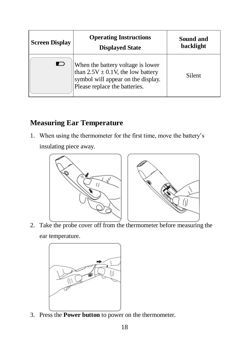| <b>Screen Display</b> | <b>Operating Instructions</b><br><b>Displayed State</b>                                                                                            | Sound and<br>backlight |
|-----------------------|----------------------------------------------------------------------------------------------------------------------------------------------------|------------------------|
| ⊏                     | When the battery voltage is lower<br>than $2.5V \pm 0.1V$ , the low battery<br>symbol will appear on the display.<br>Please replace the batteries. | Silent                 |

#### <span id="page-20-0"></span>**Measuring Ear Temperature**

1. When using the thermometer for the first time, move the battery's

insulating piece away.



2. Take the probe cover off from the thermometer before measuring the ear temperature.



3. Press the **Power button** to power on the thermometer.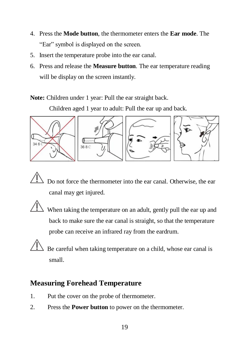- 4. Press the **Mode button**, the thermometer enters the **Ear mode**. The "Ear" symbol is displayed on the screen.
- 5. Insert the temperature probe into the ear canal.
- 6. Press and release the **Measure button**. The ear temperature reading will be display on the screen instantly.

**Note:** Children under 1 year: Pull the ear straight back.

Children aged 1 year to adult: Pull the ear up and back.



Do not force the thermometer into the ear canal. Otherwise, the ear canal may get injured.

When taking the temperature on an adult, gently pull the ear up and back to make sure the ear canal is straight, so that the temperature probe can receive an infrared ray from the eardrum.

Be careful when taking temperature on a child, whose ear canal is small.

#### <span id="page-21-0"></span>**Measuring Forehead Temperature**

- 1. Put the cover on the probe of thermometer.
- 2. Press the **Power button** to power on the thermometer.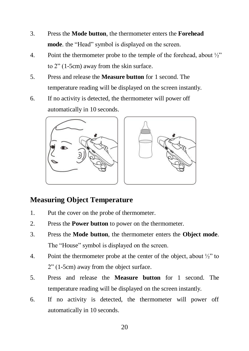- 3. Press the **Mode button**, the thermometer enters the **Forehead mode**. the "Head" symbol is displayed on the screen.
- 4. Point the thermometer probe to the temple of the forehead, about ½" to 2" (1-5cm) away from the skin surface.
- 5. Press and release the **Measure button** for 1 second. The temperature reading will be displayed on the screen instantly.
- 6. If no activity is detected, the thermometer will power off automatically in 10 seconds.



#### <span id="page-22-0"></span>**Measuring Object Temperature**

- 1. Put the cover on the probe of thermometer.
- 2. Press the **Power button** to power on the thermometer.
- 3. Press the **Mode button**, the thermometer enters the **Object mode**. The "House" symbol is displayed on the screen.
- 4. Point the thermometer probe at the center of the object, about  $\frac{1}{2}$  to 2" (1-5cm) away from the object surface.
- 5. Press and release the **Measure button** for 1 second. The temperature reading will be displayed on the screen instantly.
- 6. If no activity is detected, the thermometer will power off automatically in 10 seconds.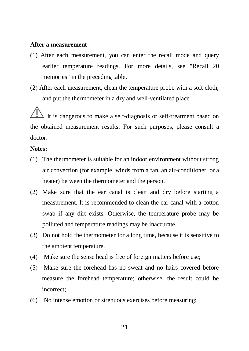#### **After a measurement**

- (1) After each measurement, you can enter the recall mode and query earlier temperature readings. For more details, see "Recall 20 memories" in the preceding table.
- (2) After each measurement, clean the temperature probe with a soft cloth, and put the thermometer in a dry and well-ventilated place.

It is dangerous to make a self-diagnosis or self-treatment based on the obtained measurement results. For such purposes, please consult a doctor.

#### **Notes:**

- (1) The thermometer is suitable for an indoor environment without strong air convection (for example, winds from a fan, an air-conditioner, or a heater) between the thermometer and the person.
- (2) Make sure that the ear canal is clean and dry before starting a measurement. It is recommended to clean the ear canal with a cotton swab if any dirt exists. Otherwise, the temperature probe may be polluted and temperature readings may be inaccurate.
- (3) Do not hold the thermometer for a long time, because it is sensitive to the ambient temperature.
- (4) Make sure the sense head is free of foreign matters before use;
- (5) Make sure the forehead has no sweat and no hairs covered before measure the forehead temperature; otherwise, the result could be incorrect;
- (6) No intense emotion or strenuous exercises before measuring;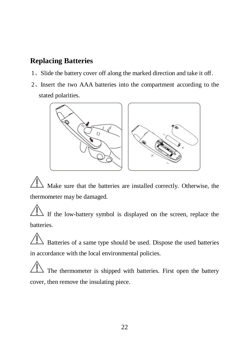#### <span id="page-24-0"></span>**Replacing Batteries**

- 1、Slide the battery cover off along the marked direction and take it off.
- 2、Insert the two AAA batteries into the compartment according to the stated polarities.



Make sure that the batteries are installed correctly. Otherwise, the thermometer may be damaged.

If the low-battery symbol is displayed on the screen, replace the batteries.

 $\Delta$  Batteries of a same type should be used. Dispose the used batteries in accordance with the local environmental policies.

The thermometer is shipped with batteries. First open the battery cover, then remove the insulating piece.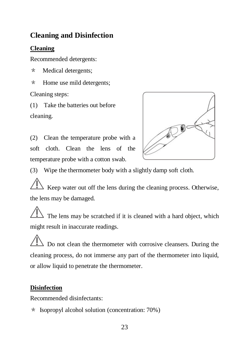#### <span id="page-25-0"></span>**Cleaning and Disinfection**

#### **Cleaning**

Recommended detergents:

- \* Medical detergents;
- \* Home use mild detergents;

Cleaning steps:

(1) Take the batteries out before cleaning.





(3) Wipe the thermometer body with a slightly damp soft cloth.

 $\triangle$  Keep water out off the lens during the cleaning process. Otherwise, the lens may be damaged.

The lens may be scratched if it is cleaned with a hard object, which might result in inaccurate readings.

Do not clean the thermometer with corrosive cleansers. During the cleaning process, do not immerse any part of the thermometer into liquid, or allow liquid to penetrate the thermometer.

#### **Disinfection**

Recommended disinfectants:

\* Isopropyl alcohol solution (concentration: 70%)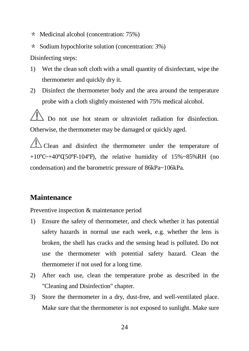- \* Medicinal alcohol (concentration: 75%)
- \* Sodium hypochlorite solution (concentration: 3%)

Disinfecting steps:

- 1) Wet the clean soft cloth with a small quantity of disinfectant, wipe the thermometer and quickly dry it.
- 2) Disinfect the thermometer body and the area around the temperature probe with a cloth slightly moistened with 75% medical alcohol.

Do not use hot steam or ultraviolet radiation for disinfection. Otherwise, the thermometer may be damaged or quickly aged.

Clean and disinfect the thermometer under the temperature of  $+10\degree$ C $\sim$ +40°C $(50\degree$ F $-104\degree$ F), the relative humidity of 15%~85%RH (no condensation) and the barometric pressure of 86kPa~106kPa.

#### <span id="page-26-0"></span>**Maintenance**

Preventive inspection & maintenance period

- 1) Ensure the safety of thermometer, and check whether it has potential safety hazards in normal use each week, e.g. whether the lens is broken, the shell has cracks and the sensing head is polluted. Do not use the thermometer with potential safety hazard. Clean the thermometer if not used for a long time.
- 2) After each use, clean the temperature probe as described in the "Cleaning and Disinfection" chapter.
- 3) Store the thermometer in a dry, dust-free, and well-ventilated place. Make sure that the thermometer is not exposed to sunlight. Make sure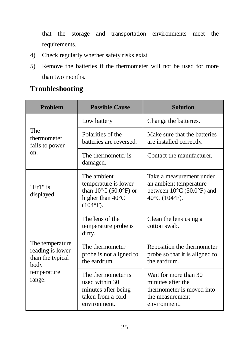that the storage and transportation environments meet the requirements.

- 4) Check regularly whether safety risks exist.
- 5) Remove the batteries if the thermometer will not be used for more than two months.

#### <span id="page-27-0"></span>**Troubleshooting**

| <b>Problem</b>                                                                           | <b>Possible Cause</b>                                                                                            | <b>Solution</b>                                                                                                                 |
|------------------------------------------------------------------------------------------|------------------------------------------------------------------------------------------------------------------|---------------------------------------------------------------------------------------------------------------------------------|
|                                                                                          | Low battery                                                                                                      | Change the batteries.                                                                                                           |
| The<br>thermometer<br>fails to power                                                     | Polarities of the<br>batteries are reversed.                                                                     | Make sure that the batteries<br>are installed correctly.                                                                        |
| on.                                                                                      | The thermometer is<br>damaged.                                                                                   | Contact the manufacturer.                                                                                                       |
| "Er1" is<br>displayed.                                                                   | The ambient<br>temperature is lower<br>than $10^{\circ}$ C (50.0°F) or<br>higher than 40°C<br>$(104^{\circ}F)$ . | Take a measurement under<br>an ambient temperature<br>between $10^{\circ}$ C (50.0°F) and<br>$40^{\circ}$ C (104 $^{\circ}$ F). |
|                                                                                          | The lens of the<br>temperature probe is<br>dirty.                                                                | Clean the lens using a<br>cotton swab.                                                                                          |
| The temperature<br>reading is lower<br>than the typical<br>body<br>temperature<br>range. | The thermometer<br>probe is not aligned to<br>the eardrum.                                                       | Reposition the thermometer<br>probe so that it is aligned to<br>the eardrum                                                     |
|                                                                                          | The thermometer is<br>used within 30<br>minutes after being<br>taken from a cold<br>environment.                 | Wait for more than 30<br>minutes after the<br>thermometer is moved into<br>the measurement<br>environment.                      |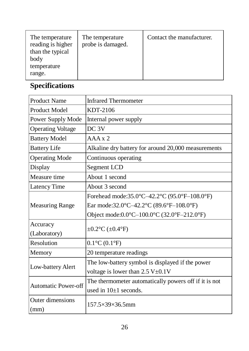| The temperature<br>reading is higher<br>than the typical<br>body<br>temperature<br>range. | The temperature<br>probe is damaged. | Contact the manufacturer. |
|-------------------------------------------------------------------------------------------|--------------------------------------|---------------------------|
|-------------------------------------------------------------------------------------------|--------------------------------------|---------------------------|

#### <span id="page-28-0"></span>**Specifications**

| <b>Product Name</b>      | <b>Infrared Thermometer</b>                           |  |
|--------------------------|-------------------------------------------------------|--|
| Product Model            | KDT-2106                                              |  |
| Power Supply Mode        | Internal power supply                                 |  |
| <b>Operating Voltage</b> | $DC_3V$                                               |  |
| <b>Battery Model</b>     | $AAA \times 2$                                        |  |
| <b>Battery Life</b>      | Alkaline dry battery for around 20,000 measurements   |  |
| <b>Operating Mode</b>    | Continuous operating                                  |  |
| Display                  | Segment LCD                                           |  |
| Measure time             | About 1 second                                        |  |
| Latency Time             | About 3 second                                        |  |
|                          | Forehead mode:35.0°C-42.2°C (95.0°F-108.0°F)          |  |
| <b>Measuring Range</b>   | Ear mode:32.0°C-42.2°C (89.6°F-108.0°F)               |  |
|                          | Object mode:0.0°C-100.0°C (32.0°F-212.0°F)            |  |
| Accuracy                 | $\pm 0.2$ °C ( $\pm 0.4$ °F)                          |  |
| (Laboratory)             |                                                       |  |
| Resolution               | $0.1^{\circ}$ C $(0.1^{\circ}F)$                      |  |
| Memory                   | 20 temperature readings                               |  |
| Low-battery Alert        | The low-battery symbol is displayed if the power      |  |
|                          | voltage is lower than $2.5 V \pm 0.1 V$               |  |
| Automatic Power-off      | The thermometer automatically powers off if it is not |  |
|                          | used in $10+1$ seconds.                               |  |
| Outer dimensions         | $157.5\times39\times36.5$ mm                          |  |
| (mm)                     |                                                       |  |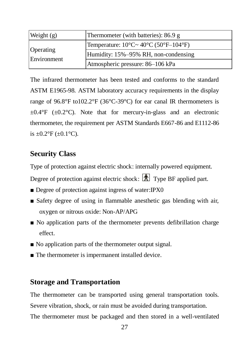| Weight $(g)$             | Thermometer (with batteries): 86.9 g                      |  |
|--------------------------|-----------------------------------------------------------|--|
|                          | Temperature: $10^{\circ}$ C ~ $40^{\circ}$ C (50°F–104°F) |  |
| Operating<br>Environment | Humidity: 15%-95% RH, non-condensing                      |  |
|                          | Atmospheric pressure: 86–106 kPa                          |  |

The infrared thermometer has been tested and conforms to the standard ASTM E1965-98. ASTM laboratory accuracy requirements in the display range of 96.8°F to102.2°F (36°C-39°C) for ear canal IR thermometers is  $\pm 0.4$ °F ( $\pm 0.2$ °C). Note that for mercury-in-glass and an electronic thermometer, the requirement per ASTM Standards E667-86 and E1112-86 is  $\pm 0.2$ °F ( $\pm 0.1$ °C).

#### <span id="page-29-0"></span>**Security Class**

Type of protection against electric shock: internally powered equipment.

Degree of protection against electric shock:  $\overline{\mathbf{A}}$  Type BF applied part.

- Degree of protection against ingress of water:IPX0
- Safety degree of using in flammable anesthetic gas blending with air, oxygen or nitrous oxide: Non-AP/APG
- No application parts of the thermometer prevents defibrillation charge effect.
- No application parts of the thermometer output signal.
- The thermometer is impermanent installed device.

#### <span id="page-29-1"></span>**Storage and Transportation**

The thermometer can be transported using general transportation tools. Severe vibration, shock, or rain must be avoided during transportation. The thermometer must be packaged and then stored in a well-ventilated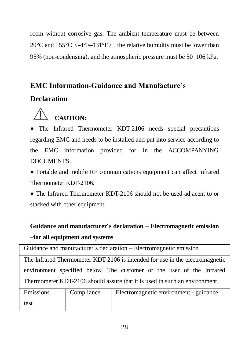room without corrosive gas. The ambient temperature must be between  $20^{\circ}$ C and  $+55^{\circ}$ C ( $-4^{\circ}$ F $-131^{\circ}$ F), the relative humidity must be lower than 95% (non-condensing), and the atmospheric pressure must be 50–106 kPa.

#### <span id="page-30-0"></span>**EMC Information-Guidance and Manufacture's**

#### **Declaration**



● The Infrared Thermometer KDT-2106 needs special precautions regarding EMC and needs to be installed and put into service according to the EMC information provided for in the ACCOMPANYING **DOCUMENTS** 

● Portable and mobile RF communications equipment can affect Infrared Thermometer KDT-2106.

● The Infrared Thermometer KDT-2106 should not be used adjacent to or stacked with other equipment.

#### **Guidance and manufacturer´s declaration – Electromagnetic emission –for all equipment and systems**

| Guidance and manufacturer's declaration – Electromagnetic emission           |            |                                                                       |  |
|------------------------------------------------------------------------------|------------|-----------------------------------------------------------------------|--|
| The Infrared Thermometer KDT-2106 is intended for use in the electromagnetic |            |                                                                       |  |
|                                                                              |            | environment specified below. The customer or the user of the Infrared |  |
| Thermometer KDT-2106 should assure that it is used in such an environment.   |            |                                                                       |  |
| Emissions                                                                    | Compliance | Electromagnetic environment - guidance                                |  |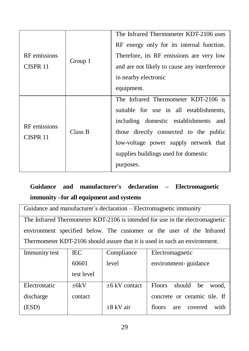|                                     |         | The Infrared Thermometer KDT-2106 uses                                                                                                                                |
|-------------------------------------|---------|-----------------------------------------------------------------------------------------------------------------------------------------------------------------------|
| RF emissions                        |         | RF energy only for its internal function.                                                                                                                             |
|                                     |         | Therefore, its RF emissions are very low                                                                                                                              |
| CISPR 11                            | Group 1 | and are not likely to cause any interference                                                                                                                          |
|                                     |         | in nearby electronic                                                                                                                                                  |
|                                     |         | equipment.                                                                                                                                                            |
| RF emissions<br>Class B<br>CISPR 11 |         | The Infrared Thermometer KDT-2106 is<br>suitable for use in all establishments,<br>including domestic establishments<br>and<br>those directly connected to the public |
|                                     |         | low-voltage power supply network that<br>supplies buildings used for domestic<br>purposes.                                                                            |

#### **Guidance and manufacturer's declaration – Electromagnetic immunity –for all equipment and systems**

| Guidance and manufacturer's declaration – Electromagnetic immunity           |  |  |
|------------------------------------------------------------------------------|--|--|
| The Infrared Thermometer KDT-2106 is intended for use in the electromagnetic |  |  |
| environment specified below. The customer or the user of the Infrared        |  |  |
| Thermometer KDT-2106 should assure that it is used in such an environment.   |  |  |

| Immunity test | IEC        | Compliance         | Electromagnetic                        |
|---------------|------------|--------------------|----------------------------------------|
|               | 60601      | level              | environment-guidance                   |
|               | test level |                    |                                        |
| Electrostatic | $+6kV$     | $\pm 6$ kV contact | <b>Floors</b><br>should<br>he<br>wood. |
| discharge     | contact    |                    | concrete or ceramic tile. If           |
| (ESD)         |            | $\pm 8$ kV air     | with<br>floors<br>covered<br>are       |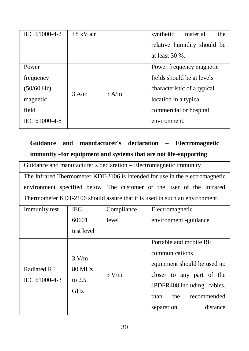| IEC 61000-4-2        | $\pm 8$ kV air |         | synthetic<br>material,<br>the<br>relative humidity should be<br>at least $30%$ . |
|----------------------|----------------|---------|----------------------------------------------------------------------------------|
|                      |                |         |                                                                                  |
| Power                |                |         | Power frequency magnetic                                                         |
| frequency            |                |         | fields should be at levels                                                       |
| $(50/60 \text{ Hz})$ | $3$ A/m        | $3$ A/m | characteristic of a typical                                                      |
| magnetic             |                |         | location in a typical                                                            |
| field                |                |         | commercial or hospital                                                           |
| IEC 61000-4-8        |                |         | environment.                                                                     |

#### **Guidance and manufacturer´s declaration – Electromagnetic immunity –for equipment and systems that are not life-supporting**

Guidance and manufacturer´s declaration – Electromagnetic immunity The Infrared Thermometer KDT-2106 is intended for use in the electromagnetic environment specified below. The customer or the user of the Infrared Thermometer KDT-2106 should assure that it is used in such an environment.

| Immunity test                | IEC.                                      | Compliance | Electromagnetic                                                                                                                                                                             |
|------------------------------|-------------------------------------------|------------|---------------------------------------------------------------------------------------------------------------------------------------------------------------------------------------------|
|                              | 60601                                     | level      | environment -guidance                                                                                                                                                                       |
|                              | test level                                |            |                                                                                                                                                                                             |
| Radiated RF<br>IEC 61000-4-3 | 3 V/m<br>80 MHz<br>to $2.5$<br><b>GHz</b> | 3 V/m      | Portable and mobile RF<br>communications<br>equipment should be used no<br>closer to any part of the<br>JPDFR408, including cables,<br>recommended<br>than<br>the<br>separation<br>distance |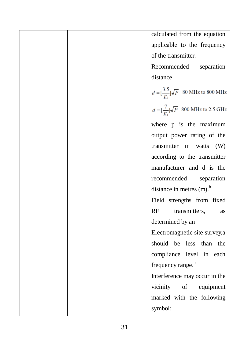|  | calculated from the equation                                  |
|--|---------------------------------------------------------------|
|  | applicable to the frequency                                   |
|  | of the transmitter.                                           |
|  | Recommended<br>separation                                     |
|  | distance                                                      |
|  | $d = \left[\frac{3.5}{F_1}\right] \sqrt{P}$ 80 MHz to 800 MHz |
|  | $d = \left[\frac{7}{F_1}\right] \sqrt{P}$ 800 MHz to 2.5 GHz  |
|  | where p is the maximum                                        |
|  | output power rating of the                                    |
|  | transmitter in watts (W)                                      |
|  | according to the transmitter                                  |
|  | manufacturer and d is the                                     |
|  | recommended<br>separation                                     |
|  | distance in metres (m). <sup>b</sup>                          |
|  | Field strengths from fixed                                    |
|  | RF<br>transmitters,<br>as                                     |
|  | determined by an                                              |
|  | Electromagnetic site survey,a                                 |
|  | should be less than the                                       |
|  | compliance level in each                                      |
|  | frequency range. <sup>b</sup>                                 |
|  | Interference may occur in the                                 |
|  | vicinity of equipment                                         |
|  | marked with the following                                     |
|  | symbol:                                                       |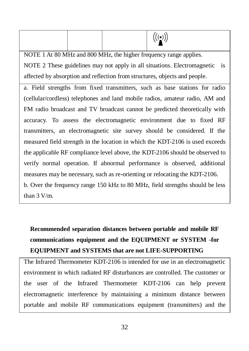$\big((\begin{smallmatrix} \bullet\end{smallmatrix})\big)$ 

NOTE 1 At 80 MHz and 800 MHz, the higher frequency range applies.

NOTE 2 These guidelines may not apply in all situations. Electromagnetic is affected by absorption and reflection from structures, objects and people.

a. Field strengths from fixed transmitters, such as base stations for radio (cellular/cordless) telephones and land mobile radios, amateur radio, AM and FM radio broadcast and TV broadcast cannot be predicted theoretically with accuracy. To assess the electromagnetic environment due to fixed RF transmitters, an electromagnetic site survey should be considered. If the measured field strength in the location in which the KDT-2106 is used exceeds the applicable RF compliance level above, the KDT-2106 should be observed to verify normal operation. If abnormal performance is observed, additional measures may be necessary, such as re-orienting or relocating the KDT-2106. b. Over the frequency range 150 kHz to 80 MHz, field strengths should be less than 3 V/m.

#### **Recommended separation distances between portable and mobile RF communications equipment and the EQUIPMENT or SYSTEM -for EQUIPMENT and SYSTEMS that are not LIFE-SUPPORTING**

The Infrared Thermometer KDT-2106 is intended for use in an electromagnetic environment in which radiated RF disturbances are controlled. The customer or the user of the Infrared Thermometer KDT-2106 can help prevent electromagnetic interference by maintaining a minimum distance between portable and mobile RF communications equipment (transmitters) and the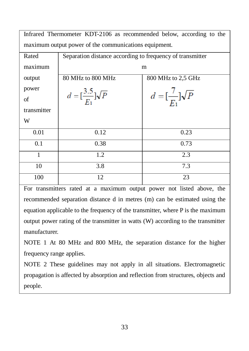| Infrared Thermometer KDT-2106 as recommended below, according to the |                                                           |                                           |  |  |
|----------------------------------------------------------------------|-----------------------------------------------------------|-------------------------------------------|--|--|
| maximum output power of the communications equipment.                |                                                           |                                           |  |  |
| Rated                                                                | Separation distance according to frequency of transmitter |                                           |  |  |
| maximum                                                              | m                                                         |                                           |  |  |
| output                                                               | 80 MHz to 800 MHz                                         | 800 MHz to 2,5 GHz                        |  |  |
| power                                                                |                                                           |                                           |  |  |
| of                                                                   | $d = \left[\frac{3.5}{E_1}\right] \sqrt{P}$               | $d = \left[\frac{7}{F_1}\right] \sqrt{P}$ |  |  |
| transmitter                                                          |                                                           |                                           |  |  |
| W                                                                    |                                                           |                                           |  |  |
| 0.01                                                                 | 0.12                                                      | 0.23                                      |  |  |
| 0.1                                                                  | 0.38                                                      | 0.73                                      |  |  |
| $\mathbf{1}$                                                         | 1.2                                                       | 2.3                                       |  |  |
| 10                                                                   | 3.8                                                       | 7.3                                       |  |  |
| 100                                                                  | 12                                                        | 23                                        |  |  |

For transmitters rated at a maximum output power not listed above, the recommended separation distance d in metres (m) can be estimated using the equation applicable to the frequency of the transmitter, where P is the maximum output power rating of the transmitter in watts (W) according to the transmitter manufacturer.

NOTE 1 At 80 MHz and 800 MHz, the separation distance for the higher frequency range applies.

NOTE 2 These guidelines may not apply in all situations. Electromagnetic propagation is affected by absorption and reflection from structures, objects and people.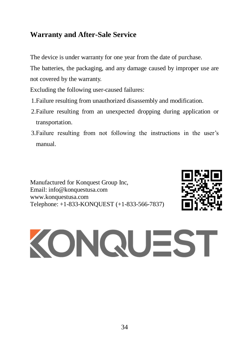#### <span id="page-36-0"></span>**Warranty and After-Sale Service**

The device is under warranty for one year from the date of purchase.

The batteries, the packaging, and any damage caused by improper use are not covered by the warranty.

Excluding the following user-caused failures:

- 1.Failure resulting from unauthorized disassembly and modification.
- 2.Failure resulting from an unexpected dropping during application or transportation.
- 3.Failure resulting from not following the instructions in the user's manual.

Manufactured for Konquest Group Inc, Email: info@konquestusa.com www.konquestusa.com Telephone: +1-833-KONQUEST (+1-833-566-7837)



# KONQUEST